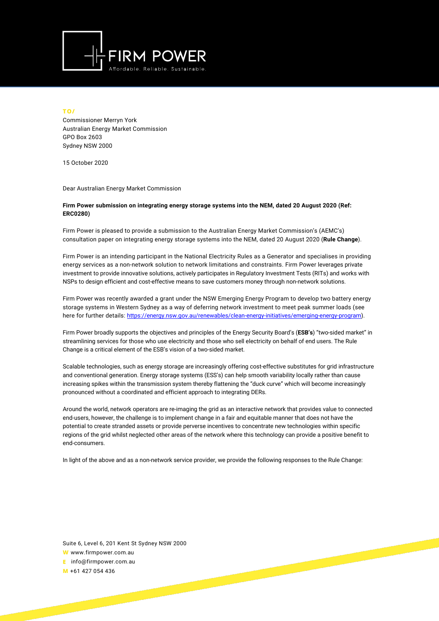

## **TO/**

Commissioner Merryn York Australian Energy Market Commission GPO Box 2603 Sydney NSW 2000

15 October 2020

Dear Australian Energy Market Commission

## **Firm Power submission on integrating energy storage systems into the NEM, dated 20 August 2020 (Ref: ERC0280)**

Firm Power is pleased to provide a submission to the Australian Energy Market Commission's (AEMC's) consultation paper on integrating energy storage systems into the NEM, dated 20 August 2020 (**Rule Change**).

Firm Power is an intending participant in the National Electricity Rules as a Generator and specialises in providing energy services as a non-network solution to network limitations and constraints. Firm Power leverages private investment to provide innovative solutions, actively participates in Regulatory Investment Tests (RITs) and works with NSPs to design efficient and cost-effective means to save customers money through non-network solutions.

Firm Power was recently awarded a grant under the NSW Emerging Energy Program to develop two battery energy storage systems in Western Sydney as a way of deferring network investment to meet peak summer loads (see here for further details: [https://energy.nsw.gov.au/renewables/clean-energy-initiatives/emerging-energy-program\)](https://energy.nsw.gov.au/renewables/clean-energy-initiatives/emerging-energy-program).

Firm Power broadly supports the objectives and principles of the Energy Security Board's (**ESB's**) "two-sided market" in streamlining services for those who use electricity and those who sell electricity on behalf of end users. The Rule Change is a critical element of the ESB's vision of a two-sided market.

Scalable technologies, such as energy storage are increasingly offering cost-effective substitutes for grid infrastructure and conventional generation. Energy storage systems (ESS's) can help smooth variability locally rather than cause increasing spikes within the transmission system thereby flattening the "duck curve" which will become increasingly pronounced without a coordinated and efficient approach to integrating DERs.

Around the world, network operators are re-imaging the grid as an interactive network that provides value to connected end-users, however, the challenge is to implement change in a fair and equitable manner that does not have the potential to create stranded assets or provide perverse incentives to concentrate new technologies within specific regions of the grid whilst neglected other areas of the network where this technology can provide a positive benefit to end-consumers.

In light of the above and as a non-network service provider, we provide the following responses to the Rule Change:

Suite 6, Level 6, 201 Kent St Sydney NSW 2000

**W** www.firmpower.com.au **E** info@firmpower.com.au

**M** +61 427 054 436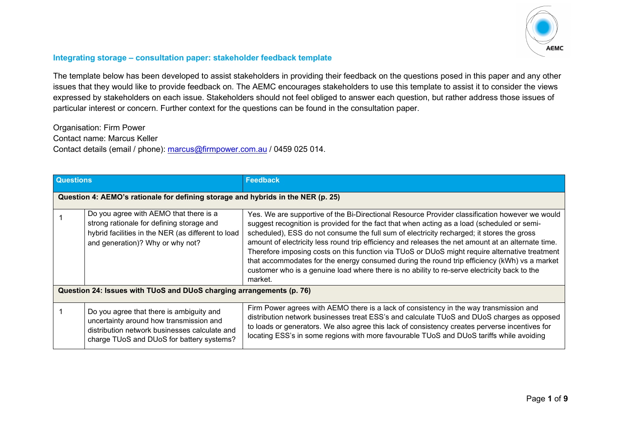

## **Integrating storage – consultation paper: stakeholder feedback template**

The template below has been developed to assist stakeholders in providing their feedback on the questions posed in this paper and any other issues that they would like to provide feedback on. The AEMC encourages stakeholders to use this template to assist it to consider the views expressed by stakeholders on each issue. Stakeholders should not feel obliged to answer each question, but rather address those issues of particular interest or concern. Further context for the questions can be found in the consultation paper.

Organisation: Firm Power Contact name: Marcus Keller Contact details (email / phone): [marcus@firmpower.com.au](mailto:marcus@firmpower.com.au) / 0459 025 014.

| <b>Questions</b>                                                     |                                                                                                                                                                                   | <b>Feedback</b>                                                                                                                                                                                                                                                                                                                                                                                                                                                                                                                                                                                                                                                                                               |
|----------------------------------------------------------------------|-----------------------------------------------------------------------------------------------------------------------------------------------------------------------------------|---------------------------------------------------------------------------------------------------------------------------------------------------------------------------------------------------------------------------------------------------------------------------------------------------------------------------------------------------------------------------------------------------------------------------------------------------------------------------------------------------------------------------------------------------------------------------------------------------------------------------------------------------------------------------------------------------------------|
|                                                                      | Question 4: AEMO's rationale for defining storage and hybrids in the NER (p. 25)                                                                                                  |                                                                                                                                                                                                                                                                                                                                                                                                                                                                                                                                                                                                                                                                                                               |
|                                                                      | Do you agree with AEMO that there is a<br>strong rationale for defining storage and<br>hybrid facilities in the NER (as different to load<br>and generation)? Why or why not?     | Yes. We are supportive of the Bi-Directional Resource Provider classification however we would<br>suggest recognition is provided for the fact that when acting as a load (scheduled or semi-<br>scheduled), ESS do not consume the full sum of electricity recharged; it stores the gross<br>amount of electricity less round trip efficiency and releases the net amount at an alternate time.<br>Therefore imposing costs on this function via TUoS or DUoS might require alternative treatment<br>that accommodates for the energy consumed during the round trip efficiency (kWh) vs a market<br>customer who is a genuine load where there is no ability to re-serve electricity back to the<br>market. |
| Question 24: Issues with TUoS and DUoS charging arrangements (p. 76) |                                                                                                                                                                                   |                                                                                                                                                                                                                                                                                                                                                                                                                                                                                                                                                                                                                                                                                                               |
|                                                                      | Do you agree that there is ambiguity and<br>uncertainty around how transmission and<br>distribution network businesses calculate and<br>charge TUoS and DUoS for battery systems? | Firm Power agrees with AEMO there is a lack of consistency in the way transmission and<br>distribution network businesses treat ESS's and calculate TUoS and DUoS charges as opposed<br>to loads or generators. We also agree this lack of consistency creates perverse incentives for<br>locating ESS's in some regions with more favourable TUoS and DUoS tariffs while avoiding                                                                                                                                                                                                                                                                                                                            |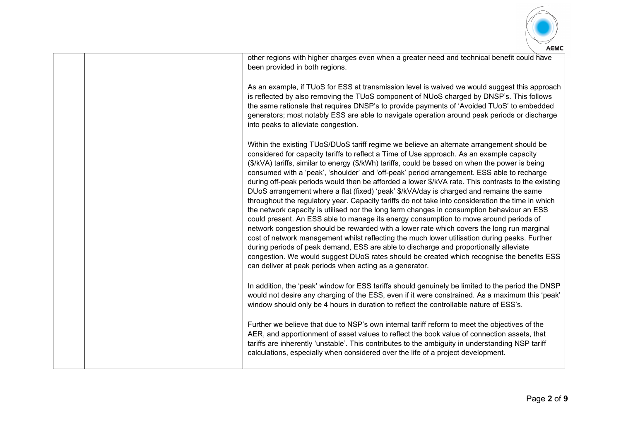

| AEML                                                                                                                                                                                                                                                                                                                                                                                                                                                                                                                                                                                                                                                                                                                                                                                                                                                                                                                                                                                                                                                                                                                                                                                                                                                                                                                                  |
|---------------------------------------------------------------------------------------------------------------------------------------------------------------------------------------------------------------------------------------------------------------------------------------------------------------------------------------------------------------------------------------------------------------------------------------------------------------------------------------------------------------------------------------------------------------------------------------------------------------------------------------------------------------------------------------------------------------------------------------------------------------------------------------------------------------------------------------------------------------------------------------------------------------------------------------------------------------------------------------------------------------------------------------------------------------------------------------------------------------------------------------------------------------------------------------------------------------------------------------------------------------------------------------------------------------------------------------|
| other regions with higher charges even when a greater need and technical benefit could have<br>been provided in both regions.                                                                                                                                                                                                                                                                                                                                                                                                                                                                                                                                                                                                                                                                                                                                                                                                                                                                                                                                                                                                                                                                                                                                                                                                         |
| As an example, if TUoS for ESS at transmission level is waived we would suggest this approach<br>is reflected by also removing the TUoS component of NUoS charged by DNSP's. This follows<br>the same rationale that requires DNSP's to provide payments of 'Avoided TUoS' to embedded<br>generators; most notably ESS are able to navigate operation around peak periods or discharge<br>into peaks to alleviate congestion.                                                                                                                                                                                                                                                                                                                                                                                                                                                                                                                                                                                                                                                                                                                                                                                                                                                                                                         |
| Within the existing TUoS/DUoS tariff regime we believe an alternate arrangement should be<br>considered for capacity tariffs to reflect a Time of Use approach. As an example capacity<br>(\$/kVA) tariffs, similar to energy (\$/kWh) tariffs, could be based on when the power is being<br>consumed with a 'peak', 'shoulder' and 'off-peak' period arrangement. ESS able to recharge<br>during off-peak periods would then be afforded a lower \$/kVA rate. This contrasts to the existing<br>DUoS arrangement where a flat (fixed) 'peak' \$/kVA/day is charged and remains the same<br>throughout the regulatory year. Capacity tariffs do not take into consideration the time in which<br>the network capacity is utilised nor the long term changes in consumption behaviour an ESS<br>could present. An ESS able to manage its energy consumption to move around periods of<br>network congestion should be rewarded with a lower rate which covers the long run marginal<br>cost of network management whilst reflecting the much lower utilisation during peaks. Further<br>during periods of peak demand, ESS are able to discharge and proportionally alleviate<br>congestion. We would suggest DUoS rates should be created which recognise the benefits ESS<br>can deliver at peak periods when acting as a generator. |
| In addition, the 'peak' window for ESS tariffs should genuinely be limited to the period the DNSP<br>would not desire any charging of the ESS, even if it were constrained. As a maximum this 'peak'<br>window should only be 4 hours in duration to reflect the controllable nature of ESS's.                                                                                                                                                                                                                                                                                                                                                                                                                                                                                                                                                                                                                                                                                                                                                                                                                                                                                                                                                                                                                                        |
| Further we believe that due to NSP's own internal tariff reform to meet the objectives of the<br>AER, and apportionment of asset values to reflect the book value of connection assets, that<br>tariffs are inherently 'unstable'. This contributes to the ambiguity in understanding NSP tariff<br>calculations, especially when considered over the life of a project development.                                                                                                                                                                                                                                                                                                                                                                                                                                                                                                                                                                                                                                                                                                                                                                                                                                                                                                                                                  |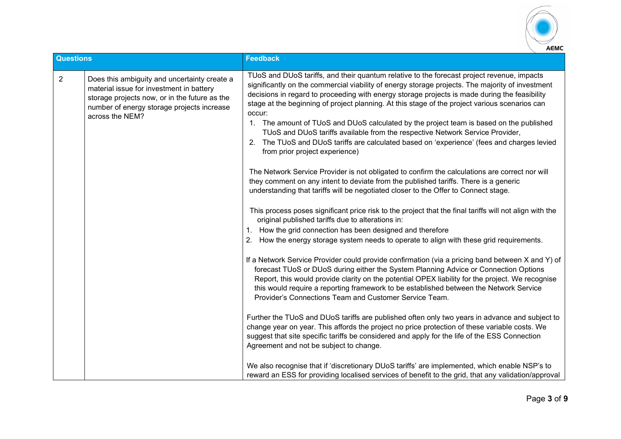

| <b>Questions</b> |                                                                                                                                                                                                            | <b>Feedback</b>                                                                                                                                                                                                                                                                                                                                                                                                                                                                                                                                                                                                                                                                                                                                                                                                                                                                                                                                                                                                                                                                                                                                                                                                                                                                                                                                                                                                                                                                                                                                                                                                                       |
|------------------|------------------------------------------------------------------------------------------------------------------------------------------------------------------------------------------------------------|---------------------------------------------------------------------------------------------------------------------------------------------------------------------------------------------------------------------------------------------------------------------------------------------------------------------------------------------------------------------------------------------------------------------------------------------------------------------------------------------------------------------------------------------------------------------------------------------------------------------------------------------------------------------------------------------------------------------------------------------------------------------------------------------------------------------------------------------------------------------------------------------------------------------------------------------------------------------------------------------------------------------------------------------------------------------------------------------------------------------------------------------------------------------------------------------------------------------------------------------------------------------------------------------------------------------------------------------------------------------------------------------------------------------------------------------------------------------------------------------------------------------------------------------------------------------------------------------------------------------------------------|
| $\overline{2}$   | Does this ambiguity and uncertainty create a<br>material issue for investment in battery<br>storage projects now, or in the future as the<br>number of energy storage projects increase<br>across the NEM? | TUoS and DUoS tariffs, and their quantum relative to the forecast project revenue, impacts<br>significantly on the commercial viability of energy storage projects. The majority of investment<br>decisions in regard to proceeding with energy storage projects is made during the feasibility<br>stage at the beginning of project planning. At this stage of the project various scenarios can<br>occur:<br>1. The amount of TUoS and DUoS calculated by the project team is based on the published<br>TUoS and DUoS tariffs available from the respective Network Service Provider,<br>2. The TUoS and DUoS tariffs are calculated based on 'experience' (fees and charges levied<br>from prior project experience)<br>The Network Service Provider is not obligated to confirm the calculations are correct nor will<br>they comment on any intent to deviate from the published tariffs. There is a generic<br>understanding that tariffs will be negotiated closer to the Offer to Connect stage.<br>This process poses significant price risk to the project that the final tariffs will not align with the<br>original published tariffs due to alterations in:<br>1. How the grid connection has been designed and therefore<br>How the energy storage system needs to operate to align with these grid requirements.<br>2.<br>If a Network Service Provider could provide confirmation (via a pricing band between X and Y) of<br>forecast TUoS or DUoS during either the System Planning Advice or Connection Options<br>Report, this would provide clarity on the potential OPEX liability for the project. We recognise |
|                  |                                                                                                                                                                                                            | this would require a reporting framework to be established between the Network Service<br>Provider's Connections Team and Customer Service Team.                                                                                                                                                                                                                                                                                                                                                                                                                                                                                                                                                                                                                                                                                                                                                                                                                                                                                                                                                                                                                                                                                                                                                                                                                                                                                                                                                                                                                                                                                      |
|                  |                                                                                                                                                                                                            | Further the TUoS and DUoS tariffs are published often only two years in advance and subject to<br>change year on year. This affords the project no price protection of these variable costs. We<br>suggest that site specific tariffs be considered and apply for the life of the ESS Connection<br>Agreement and not be subject to change.                                                                                                                                                                                                                                                                                                                                                                                                                                                                                                                                                                                                                                                                                                                                                                                                                                                                                                                                                                                                                                                                                                                                                                                                                                                                                           |
|                  |                                                                                                                                                                                                            | We also recognise that if 'discretionary DUoS tariffs' are implemented, which enable NSP's to<br>reward an ESS for providing localised services of benefit to the grid, that any validation/approval                                                                                                                                                                                                                                                                                                                                                                                                                                                                                                                                                                                                                                                                                                                                                                                                                                                                                                                                                                                                                                                                                                                                                                                                                                                                                                                                                                                                                                  |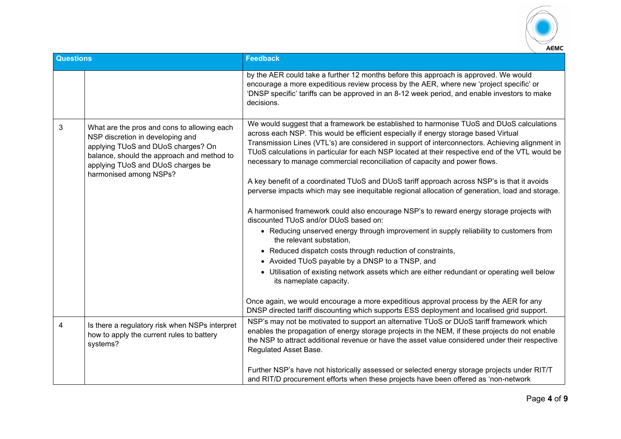

| <b>Questions</b> |                                                                                                                                                                                                                                    | <b>Feedback</b>                                                                                                                                                                                                                                                                                                                                                                                                                                                                                                                                                     |
|------------------|------------------------------------------------------------------------------------------------------------------------------------------------------------------------------------------------------------------------------------|---------------------------------------------------------------------------------------------------------------------------------------------------------------------------------------------------------------------------------------------------------------------------------------------------------------------------------------------------------------------------------------------------------------------------------------------------------------------------------------------------------------------------------------------------------------------|
|                  |                                                                                                                                                                                                                                    | by the AER could take a further 12 months before this approach is approved. We would<br>encourage a more expeditious review process by the AER, where new 'project specific' or<br>'DNSP specific' tariffs can be approved in an 8-12 week period, and enable investors to make<br>decisions.                                                                                                                                                                                                                                                                       |
| 3                | What are the pros and cons to allowing each<br>NSP discretion in developing and<br>applying TUoS and DUoS charges? On<br>balance, should the approach and method to<br>applying TUoS and DUoS charges be<br>harmonised among NSPs? | We would suggest that a framework be established to harmonise TUoS and DUoS calculations<br>across each NSP. This would be efficient especially if energy storage based Virtual<br>Transmission Lines (VTL's) are considered in support of interconnectors. Achieving alignment in<br>TUoS calculations in particular for each NSP located at their respective end of the VTL would be<br>necessary to manage commercial reconciliation of capacity and power flows.<br>A key benefit of a coordinated TUoS and DUoS tariff approach across NSP's is that it avoids |
|                  |                                                                                                                                                                                                                                    | perverse impacts which may see inequitable regional allocation of generation, load and storage.                                                                                                                                                                                                                                                                                                                                                                                                                                                                     |
|                  |                                                                                                                                                                                                                                    | A harmonised framework could also encourage NSP's to reward energy storage projects with<br>discounted TUoS and/or DUoS based on:                                                                                                                                                                                                                                                                                                                                                                                                                                   |
|                  |                                                                                                                                                                                                                                    | • Reducing unserved energy through improvement in supply reliability to customers from<br>the relevant substation,                                                                                                                                                                                                                                                                                                                                                                                                                                                  |
|                  |                                                                                                                                                                                                                                    | • Reduced dispatch costs through reduction of constraints,                                                                                                                                                                                                                                                                                                                                                                                                                                                                                                          |
|                  |                                                                                                                                                                                                                                    | • Avoided TUoS payable by a DNSP to a TNSP, and                                                                                                                                                                                                                                                                                                                                                                                                                                                                                                                     |
|                  |                                                                                                                                                                                                                                    | • Utilisation of existing network assets which are either redundant or operating well below<br>its nameplate capacity.                                                                                                                                                                                                                                                                                                                                                                                                                                              |
|                  |                                                                                                                                                                                                                                    | Once again, we would encourage a more expeditious approval process by the AER for any<br>DNSP directed tariff discounting which supports ESS deployment and localised grid support.                                                                                                                                                                                                                                                                                                                                                                                 |
| 4                | Is there a regulatory risk when NSPs interpret<br>how to apply the current rules to battery<br>systems?                                                                                                                            | NSP's may not be motivated to support an alternative TUoS or DUoS tariff framework which<br>enables the propagation of energy storage projects in the NEM, if these projects do not enable<br>the NSP to attract additional revenue or have the asset value considered under their respective<br>Regulated Asset Base.                                                                                                                                                                                                                                              |
|                  |                                                                                                                                                                                                                                    | Further NSP's have not historically assessed or selected energy storage projects under RIT/T<br>and RIT/D procurement efforts when these projects have been offered as 'non-network                                                                                                                                                                                                                                                                                                                                                                                 |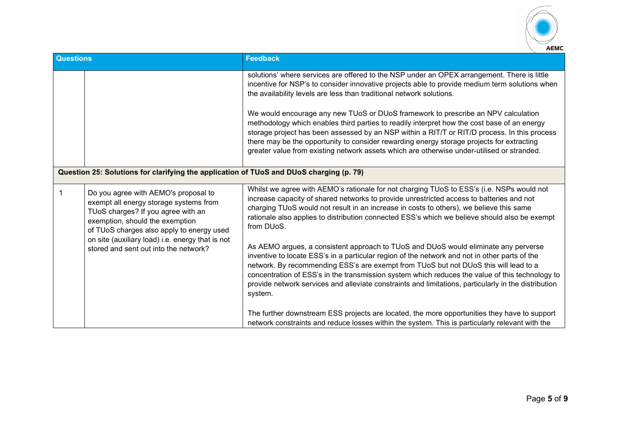

| <b>Questions</b>                                                                        |                                                                                                                                                                                                                                                                                                   | <b>Feedback</b>                                                                                                                                                                                                                                                                                                                                                                                                                                                                                                                                                                                                                                                                                                                                                                                                                                                                                       |
|-----------------------------------------------------------------------------------------|---------------------------------------------------------------------------------------------------------------------------------------------------------------------------------------------------------------------------------------------------------------------------------------------------|-------------------------------------------------------------------------------------------------------------------------------------------------------------------------------------------------------------------------------------------------------------------------------------------------------------------------------------------------------------------------------------------------------------------------------------------------------------------------------------------------------------------------------------------------------------------------------------------------------------------------------------------------------------------------------------------------------------------------------------------------------------------------------------------------------------------------------------------------------------------------------------------------------|
|                                                                                         |                                                                                                                                                                                                                                                                                                   | solutions' where services are offered to the NSP under an OPEX arrangement. There is little<br>incentive for NSP's to consider innovative projects able to provide medium term solutions when<br>the availability levels are less than traditional network solutions.<br>We would encourage any new TUoS or DUoS framework to prescribe an NPV calculation<br>methodology which enables third parties to readily interpret how the cost base of an energy<br>storage project has been assessed by an NSP within a RIT/T or RIT/D process. In this process<br>there may be the opportunity to consider rewarding energy storage projects for extracting<br>greater value from existing network assets which are otherwise under-utilised or stranded.                                                                                                                                                  |
| Question 25: Solutions for clarifying the application of TUoS and DUoS charging (p. 79) |                                                                                                                                                                                                                                                                                                   |                                                                                                                                                                                                                                                                                                                                                                                                                                                                                                                                                                                                                                                                                                                                                                                                                                                                                                       |
|                                                                                         | Do you agree with AEMO's proposal to<br>exempt all energy storage systems from<br>TUoS charges? If you agree with an<br>exemption, should the exemption<br>of TUoS charges also apply to energy used<br>on site (auxiliary load) i.e. energy that is not<br>stored and sent out into the network? | Whilst we agree with AEMO's rationale for not charging TUoS to ESS's (i.e. NSPs would not<br>increase capacity of shared networks to provide unrestricted access to batteries and not<br>charging TUoS would not result in an increase in costs to others), we believe this same<br>rationale also applies to distribution connected ESS's which we believe should also be exempt<br>from DUoS.<br>As AEMO argues, a consistent approach to TUoS and DUoS would eliminate any perverse<br>inventive to locate ESS's in a particular region of the network and not in other parts of the<br>network. By recommending ESS's are exempt from TUoS but not DUoS this will lead to a<br>concentration of ESS's in the transmission system which reduces the value of this technology to<br>provide network services and alleviate constraints and limitations, particularly in the distribution<br>system. |
|                                                                                         |                                                                                                                                                                                                                                                                                                   | The further downstream ESS projects are located, the more opportunities they have to support<br>network constraints and reduce losses within the system. This is particularly relevant with the                                                                                                                                                                                                                                                                                                                                                                                                                                                                                                                                                                                                                                                                                                       |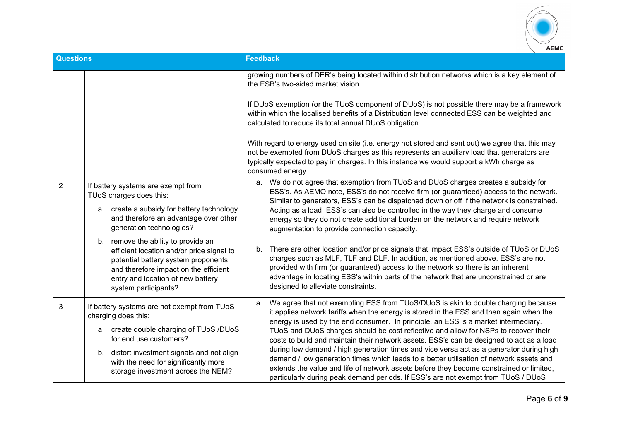

| <b>Questions</b> |                                                                                                                                                                                                                                | <b>Feedback</b>                                                                                                                                                                                                                                                                                                                                                                                                                                                |
|------------------|--------------------------------------------------------------------------------------------------------------------------------------------------------------------------------------------------------------------------------|----------------------------------------------------------------------------------------------------------------------------------------------------------------------------------------------------------------------------------------------------------------------------------------------------------------------------------------------------------------------------------------------------------------------------------------------------------------|
|                  |                                                                                                                                                                                                                                | growing numbers of DER's being located within distribution networks which is a key element of<br>the ESB's two-sided market vision.                                                                                                                                                                                                                                                                                                                            |
|                  |                                                                                                                                                                                                                                | If DUoS exemption (or the TUoS component of DUoS) is not possible there may be a framework<br>within which the localised benefits of a Distribution level connected ESS can be weighted and<br>calculated to reduce its total annual DUoS obligation.                                                                                                                                                                                                          |
|                  |                                                                                                                                                                                                                                | With regard to energy used on site (i.e. energy not stored and sent out) we agree that this may<br>not be exempted from DUoS charges as this represents an auxiliary load that generators are<br>typically expected to pay in charges. In this instance we would support a kWh charge as<br>consumed energy.                                                                                                                                                   |
| 2                | If battery systems are exempt from<br>TUoS charges does this:                                                                                                                                                                  | We do not agree that exemption from TUoS and DUoS charges creates a subsidy for<br>а.<br>ESS's. As AEMO note, ESS's do not receive firm (or guaranteed) access to the network.<br>Similar to generators, ESS's can be dispatched down or off if the network is constrained.                                                                                                                                                                                    |
|                  | a. create a subsidy for battery technology<br>and therefore an advantage over other<br>generation technologies?                                                                                                                | Acting as a load, ESS's can also be controlled in the way they charge and consume<br>energy so they do not create additional burden on the network and require network<br>augmentation to provide connection capacity.                                                                                                                                                                                                                                         |
|                  | b. remove the ability to provide an<br>efficient location and/or price signal to<br>potential battery system proponents,<br>and therefore impact on the efficient<br>entry and location of new battery<br>system participants? | There are other location and/or price signals that impact ESS's outside of TUoS or DUoS<br>b.<br>charges such as MLF, TLF and DLF. In addition, as mentioned above, ESS's are not<br>provided with firm (or guaranteed) access to the network so there is an inherent<br>advantage in locating ESS's within parts of the network that are unconstrained or are<br>designed to alleviate constraints.                                                           |
| 3                | If battery systems are not exempt from TUoS<br>charging does this:<br>a. create double charging of TUoS /DUoS                                                                                                                  | We agree that not exempting ESS from TUoS/DUoS is akin to double charging because<br>a.<br>it applies network tariffs when the energy is stored in the ESS and then again when the<br>energy is used by the end consumer. In principle, an ESS is a market intermediary.<br>TUoS and DUoS charges should be cost reflective and allow for NSPs to recover their                                                                                                |
|                  | for end use customers?<br>b. distort investment signals and not align<br>with the need for significantly more<br>storage investment across the NEM?                                                                            | costs to build and maintain their network assets. ESS's can be designed to act as a load<br>during low demand / high generation times and vice versa act as a generator during high<br>demand / low generation times which leads to a better utilisation of network assets and<br>extends the value and life of network assets before they become constrained or limited,<br>particularly during peak demand periods. If ESS's are not exempt from TUoS / DUoS |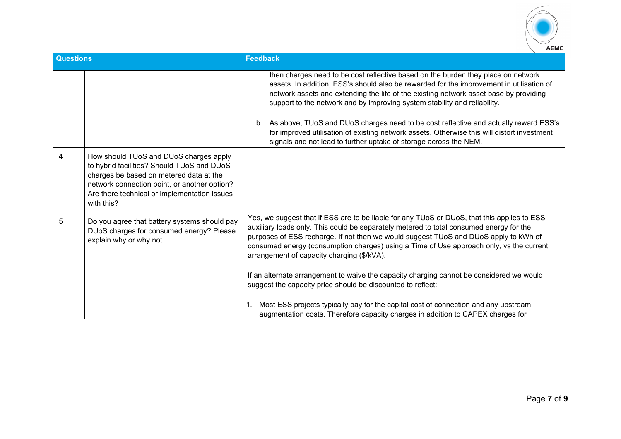

| <b>Questions</b> |                                                                                                                                                                                                                                               | <b>Feedback</b>                                                                                                                                                                                                                                                                                                                                                                                                                                                                                                                                                                                                       |
|------------------|-----------------------------------------------------------------------------------------------------------------------------------------------------------------------------------------------------------------------------------------------|-----------------------------------------------------------------------------------------------------------------------------------------------------------------------------------------------------------------------------------------------------------------------------------------------------------------------------------------------------------------------------------------------------------------------------------------------------------------------------------------------------------------------------------------------------------------------------------------------------------------------|
|                  |                                                                                                                                                                                                                                               | then charges need to be cost reflective based on the burden they place on network<br>assets. In addition, ESS's should also be rewarded for the improvement in utilisation of<br>network assets and extending the life of the existing network asset base by providing<br>support to the network and by improving system stability and reliability.<br>As above, TUoS and DUoS charges need to be cost reflective and actually reward ESS's<br>b.<br>for improved utilisation of existing network assets. Otherwise this will distort investment<br>signals and not lead to further uptake of storage across the NEM. |
| 4                | How should TUoS and DUoS charges apply<br>to hybrid facilities? Should TUoS and DUoS<br>charges be based on metered data at the<br>network connection point, or another option?<br>Are there technical or implementation issues<br>with this? |                                                                                                                                                                                                                                                                                                                                                                                                                                                                                                                                                                                                                       |
| 5                | Do you agree that battery systems should pay<br>DUoS charges for consumed energy? Please<br>explain why or why not.                                                                                                                           | Yes, we suggest that if ESS are to be liable for any TUoS or DUoS, that this applies to ESS<br>auxiliary loads only. This could be separately metered to total consumed energy for the<br>purposes of ESS recharge. If not then we would suggest TUoS and DUoS apply to kWh of<br>consumed energy (consumption charges) using a Time of Use approach only, vs the current<br>arrangement of capacity charging (\$/kVA).<br>If an alternate arrangement to waive the capacity charging cannot be considered we would<br>suggest the capacity price should be discounted to reflect:                                    |
|                  |                                                                                                                                                                                                                                               | Most ESS projects typically pay for the capital cost of connection and any upstream<br>1.<br>augmentation costs. Therefore capacity charges in addition to CAPEX charges for                                                                                                                                                                                                                                                                                                                                                                                                                                          |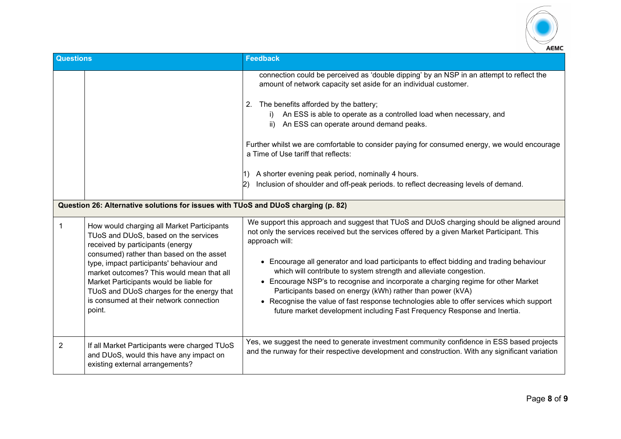

| <b>Questions</b>                                                                  |                                                                                                                                                                               | <b>Feedback</b>                                                                                                                                                                                                                                                                                                                                                                                                                  |
|-----------------------------------------------------------------------------------|-------------------------------------------------------------------------------------------------------------------------------------------------------------------------------|----------------------------------------------------------------------------------------------------------------------------------------------------------------------------------------------------------------------------------------------------------------------------------------------------------------------------------------------------------------------------------------------------------------------------------|
|                                                                                   |                                                                                                                                                                               | connection could be perceived as 'double dipping' by an NSP in an attempt to reflect the<br>amount of network capacity set aside for an individual customer.<br>2. The benefits afforded by the battery;<br>i) An ESS is able to operate as a controlled load when necessary, and<br>ii) An ESS can operate around demand peaks.<br>Further whilst we are comfortable to consider paying for consumed energy, we would encourage |
|                                                                                   |                                                                                                                                                                               | a Time of Use tariff that reflects:<br>A shorter evening peak period, nominally 4 hours.<br>1)<br>Inclusion of shoulder and off-peak periods. to reflect decreasing levels of demand.<br>$\mathbf{2}$                                                                                                                                                                                                                            |
| Question 26: Alternative solutions for issues with TUoS and DUoS charging (p. 82) |                                                                                                                                                                               |                                                                                                                                                                                                                                                                                                                                                                                                                                  |
| 1                                                                                 | How would charging all Market Participants<br>TUoS and DUoS, based on the services<br>received by participants (energy<br>consumed) rather than based on the asset            | We support this approach and suggest that TUoS and DUoS charging should be aligned around<br>not only the services received but the services offered by a given Market Participant. This<br>approach will:                                                                                                                                                                                                                       |
|                                                                                   | type, impact participants' behaviour and<br>market outcomes? This would mean that all<br>Market Participants would be liable for<br>TUoS and DUoS charges for the energy that | • Encourage all generator and load participants to effect bidding and trading behaviour<br>which will contribute to system strength and alleviate congestion.<br>• Encourage NSP's to recognise and incorporate a charging regime for other Market<br>Participants based on energy (kWh) rather than power (kVA)                                                                                                                 |
|                                                                                   | is consumed at their network connection<br>point.                                                                                                                             | • Recognise the value of fast response technologies able to offer services which support<br>future market development including Fast Frequency Response and Inertia.                                                                                                                                                                                                                                                             |
| $\overline{2}$                                                                    | If all Market Participants were charged TUoS<br>and DUoS, would this have any impact on<br>existing external arrangements?                                                    | Yes, we suggest the need to generate investment community confidence in ESS based projects<br>and the runway for their respective development and construction. With any significant variation                                                                                                                                                                                                                                   |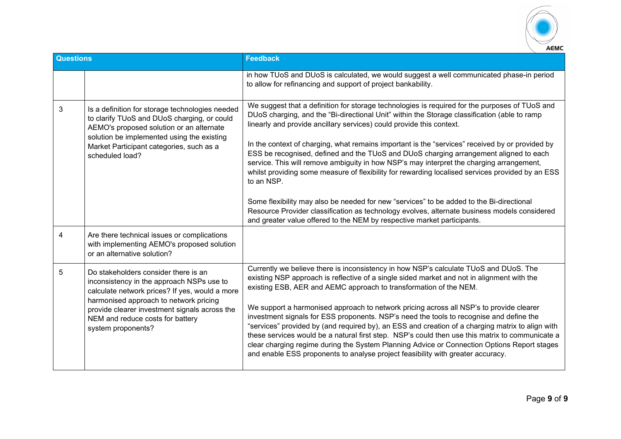

| <b>Questions</b> |                                                                                                                                                                                                                                                                                          | <b>Feedback</b>                                                                                                                                                                                                                                                                                                                                                                                                                                                                                                                                                                                                                                                                                                                                                                                                                                                                                                                                         |
|------------------|------------------------------------------------------------------------------------------------------------------------------------------------------------------------------------------------------------------------------------------------------------------------------------------|---------------------------------------------------------------------------------------------------------------------------------------------------------------------------------------------------------------------------------------------------------------------------------------------------------------------------------------------------------------------------------------------------------------------------------------------------------------------------------------------------------------------------------------------------------------------------------------------------------------------------------------------------------------------------------------------------------------------------------------------------------------------------------------------------------------------------------------------------------------------------------------------------------------------------------------------------------|
|                  |                                                                                                                                                                                                                                                                                          | in how TUoS and DUoS is calculated, we would suggest a well communicated phase-in period<br>to allow for refinancing and support of project bankability.                                                                                                                                                                                                                                                                                                                                                                                                                                                                                                                                                                                                                                                                                                                                                                                                |
| 3                | Is a definition for storage technologies needed<br>to clarify TUoS and DUoS charging, or could<br>AEMO's proposed solution or an alternate<br>solution be implemented using the existing<br>Market Participant categories, such as a<br>scheduled load?                                  | We suggest that a definition for storage technologies is required for the purposes of TUoS and<br>DUoS charging, and the "Bi-directional Unit" within the Storage classification (able to ramp<br>linearly and provide ancillary services) could provide this context.<br>In the context of charging, what remains important is the "services" received by or provided by<br>ESS be recognised, defined and the TUoS and DUoS charging arrangement aligned to each<br>service. This will remove ambiguity in how NSP's may interpret the charging arrangement,<br>whilst providing some measure of flexibility for rewarding localised services provided by an ESS<br>to an NSP.<br>Some flexibility may also be needed for new "services" to be added to the Bi-directional<br>Resource Provider classification as technology evolves, alternate business models considered<br>and greater value offered to the NEM by respective market participants. |
| 4                | Are there technical issues or complications<br>with implementing AEMO's proposed solution<br>or an alternative solution?                                                                                                                                                                 |                                                                                                                                                                                                                                                                                                                                                                                                                                                                                                                                                                                                                                                                                                                                                                                                                                                                                                                                                         |
| 5                | Do stakeholders consider there is an<br>inconsistency in the approach NSPs use to<br>calculate network prices? If yes, would a more<br>harmonised approach to network pricing<br>provide clearer investment signals across the<br>NEM and reduce costs for battery<br>system proponents? | Currently we believe there is inconsistency in how NSP's calculate TUoS and DUoS. The<br>existing NSP approach is reflective of a single sided market and not in alignment with the<br>existing ESB, AER and AEMC approach to transformation of the NEM.<br>We support a harmonised approach to network pricing across all NSP's to provide clearer<br>investment signals for ESS proponents. NSP's need the tools to recognise and define the<br>"services" provided by (and required by), an ESS and creation of a charging matrix to align with<br>these services would be a natural first step. NSP's could then use this matrix to communicate a<br>clear charging regime during the System Planning Advice or Connection Options Report stages<br>and enable ESS proponents to analyse project feasibility with greater accuracy.                                                                                                                 |